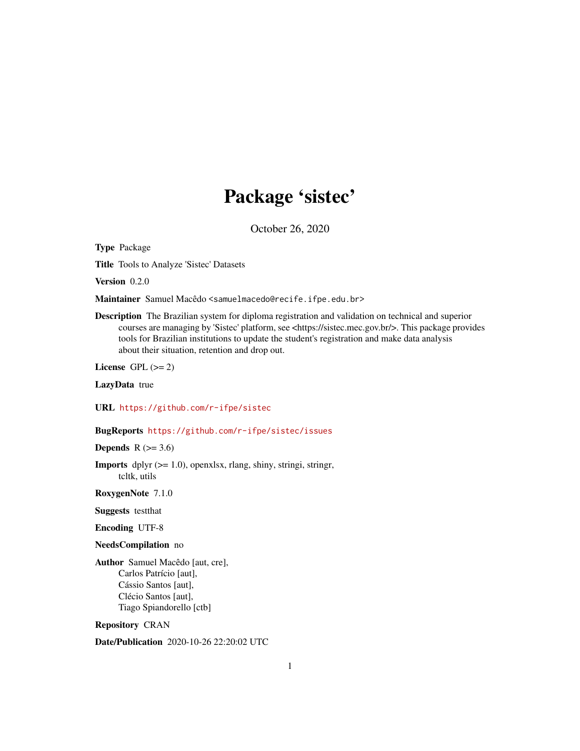# Package 'sistec'

October 26, 2020

Type Package

Title Tools to Analyze 'Sistec' Datasets

Version 0.2.0

Maintainer Samuel Macêdo <samuelmacedo@recife.ifpe.edu.br>

Description The Brazilian system for diploma registration and validation on technical and superior courses are managing by 'Sistec' platform, see <https://sistec.mec.gov.br/>. This package provides tools for Brazilian institutions to update the student's registration and make data analysis about their situation, retention and drop out.

License GPL  $(>= 2)$ 

LazyData true

URL <https://github.com/r-ifpe/sistec>

# BugReports <https://github.com/r-ifpe/sistec/issues>

Depends  $R$  ( $>= 3.6$ )

**Imports** dplyr  $(>= 1.0)$ , openxlsx, rlang, shiny, stringi, stringr, tcltk, utils

RoxygenNote 7.1.0

Suggests testthat

Encoding UTF-8

NeedsCompilation no

Author Samuel Macêdo [aut, cre], Carlos Patrício [aut], Cássio Santos [aut], Clécio Santos [aut], Tiago Spiandorello [ctb]

Repository CRAN

Date/Publication 2020-10-26 22:20:02 UTC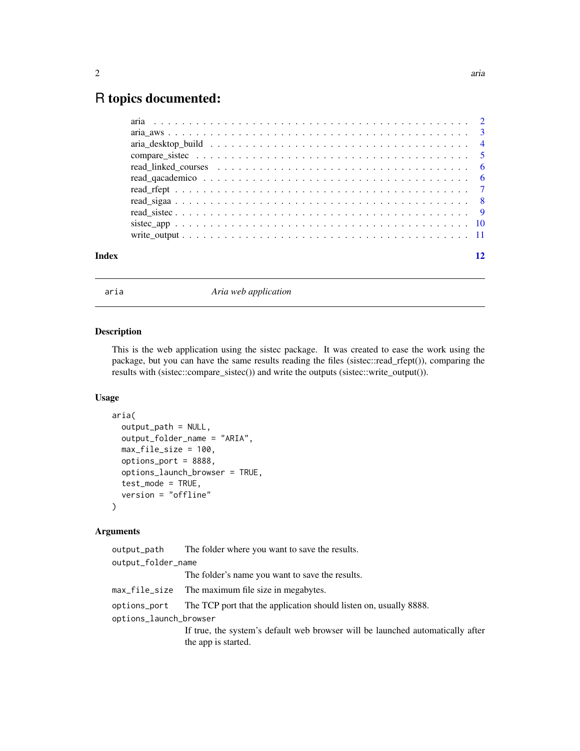# <span id="page-1-0"></span>R topics documented:

| Index |  |
|-------|--|
|       |  |

aria *Aria web application*

# Description

This is the web application using the sistec package. It was created to ease the work using the package, but you can have the same results reading the files (sistec::read\_rfept()), comparing the results with (sistec::compare\_sistec()) and write the outputs (sistec::write\_output()).

# Usage

```
aria(
  output_path = NULL,
  output_folder_name = "ARIA",
 max_file_size = 100,
  options_port = 8888,
  options_launch_browser = TRUE,
  test_mode = TRUE,
  version = "offline"
\mathcal{E}
```
# Arguments

| output_path            | The folder where you want to save the results.                                                        |
|------------------------|-------------------------------------------------------------------------------------------------------|
| output_folder_name     |                                                                                                       |
|                        | The folder's name you want to save the results.                                                       |
|                        | max_file_size The maximum file size in megabytes.                                                     |
| options_port           | The TCP port that the application should listen on, usually 8888.                                     |
| options_launch_browser |                                                                                                       |
|                        | If true, the system's default web browser will be launched automatically after<br>the app is started. |
|                        |                                                                                                       |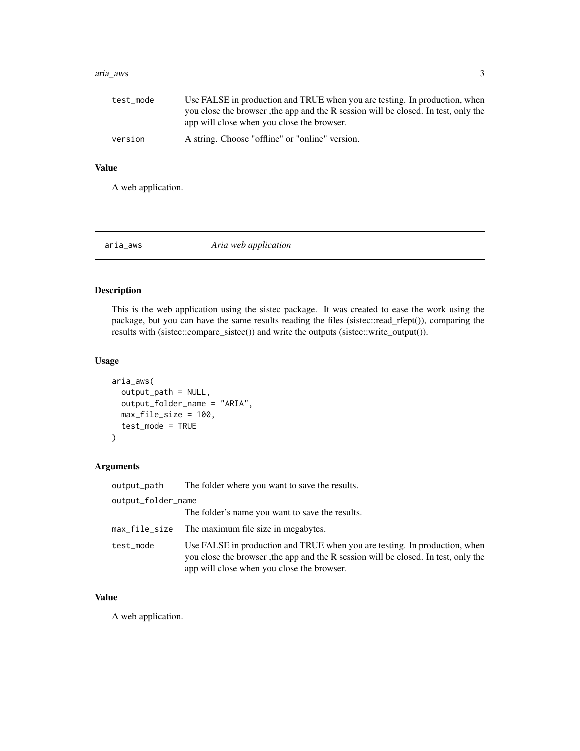#### <span id="page-2-0"></span>aria\_aws 3

| test_mode | Use FALSE in production and TRUE when you are testing. In production, when         |
|-----------|------------------------------------------------------------------------------------|
|           | you close the browser, the app and the R session will be closed. In test, only the |
|           | app will close when you close the browser.                                         |
| version   | A string. Choose "offline" or "online" version.                                    |

# Value

A web application.

aria\_aws *Aria web application*

# Description

This is the web application using the sistec package. It was created to ease the work using the package, but you can have the same results reading the files (sistec::read\_rfept()), comparing the results with (sistec::compare\_sistec()) and write the outputs (sistec::write\_output()).

# Usage

```
aria_aws(
  output_path = NULL,
  output_folder_name = "ARIA",
  max_file_size = 100,
  test_mode = TRUE
\mathcal{L}
```
# Arguments

| output_path        | The folder where you want to save the results.                                                                                                                                                                 |
|--------------------|----------------------------------------------------------------------------------------------------------------------------------------------------------------------------------------------------------------|
| output_folder_name |                                                                                                                                                                                                                |
|                    | The folder's name you want to save the results.                                                                                                                                                                |
|                    | max_file_size The maximum file size in megabytes.                                                                                                                                                              |
| test_mode          | Use FALSE in production and TRUE when you are testing. In production, when<br>you close the browser, the app and the R session will be closed. In test, only the<br>app will close when you close the browser. |

# Value

A web application.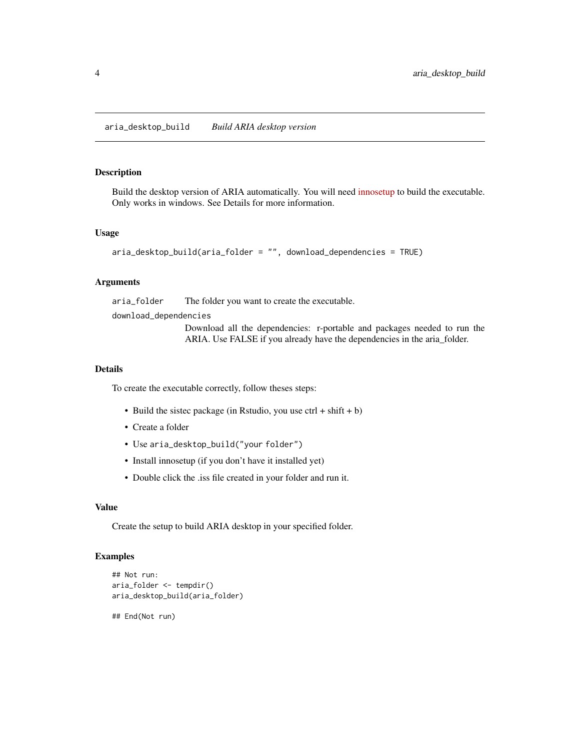# <span id="page-3-0"></span>Description

Build the desktop version of ARIA automatically. You will need [innosetup](https://jrsoftware.org/isdl.php) to build the executable. Only works in windows. See Details for more information.

#### Usage

```
aria_desktop_build(aria_folder = "", download_dependencies = TRUE)
```
#### Arguments

aria\_folder The folder you want to create the executable.

download\_dependencies

Download all the dependencies: r-portable and packages needed to run the ARIA. Use FALSE if you already have the dependencies in the aria\_folder.

#### Details

To create the executable correctly, follow theses steps:

- Build the sistec package (in Rstudio, you use ctrl + shift + b)
- Create a folder
- Use aria\_desktop\_build("your folder")
- Install innosetup (if you don't have it installed yet)
- Double click the .iss file created in your folder and run it.

#### Value

Create the setup to build ARIA desktop in your specified folder.

# Examples

```
## Not run:
aria_folder <- tempdir()
aria_desktop_build(aria_folder)
```
## End(Not run)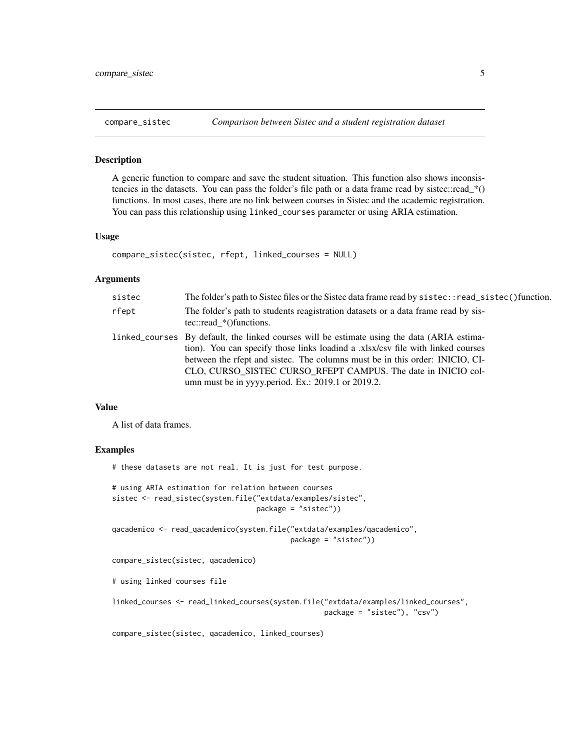<span id="page-4-0"></span>

#### Description

A generic function to compare and save the student situation. This function also shows inconsistencies in the datasets. You can pass the folder's file path or a data frame read by sistec::read\_\*() functions. In most cases, there are no link between courses in Sistec and the academic registration. You can pass this relationship using linked\_courses parameter or using ARIA estimation.

#### Usage

```
compare_sistec(sistec, rfept, linked_courses = NULL)
```
#### Arguments

| sistec | The folder's path to Sistec files or the Sistec data frame read by sistec::read_sistec()function.                                                                                                                                                                                                                                                                                    |
|--------|--------------------------------------------------------------------------------------------------------------------------------------------------------------------------------------------------------------------------------------------------------------------------------------------------------------------------------------------------------------------------------------|
| rfept  | The folder's path to students reagistration datasets or a data frame read by sis-<br>tec::read $*($ ) functions.                                                                                                                                                                                                                                                                     |
|        | linked_courses By default, the linked courses will be estimate using the data (ARIA estima-<br>tion). You can specify those links loadind a xlsx/csv file with linked courses<br>between the rfept and sistec. The columns must be in this order: INICIO, CI-<br>CLO, CURSO SISTEC CURSO RFEPT CAMPUS. The date in INICIO col-<br>umn must be in yyyy.period. Ex.: 2019.1 or 2019.2. |

#### Value

A list of data frames.

#### Examples

```
# these datasets are not real. It is just for test purpose.
# using ARIA estimation for relation between courses
sistec <- read_sistec(system.file("extdata/examples/sistec",
                                  package = "sistec"))
qacademico <- read_qacademico(system.file("extdata/examples/qacademico",
                                          package = "sistec"))
compare_sistec(sistec, qacademico)
# using linked courses file
linked_courses <- read_linked_courses(system.file("extdata/examples/linked_courses",
                                                  package = "sistec"), "csv")
```
compare\_sistec(sistec, qacademico, linked\_courses)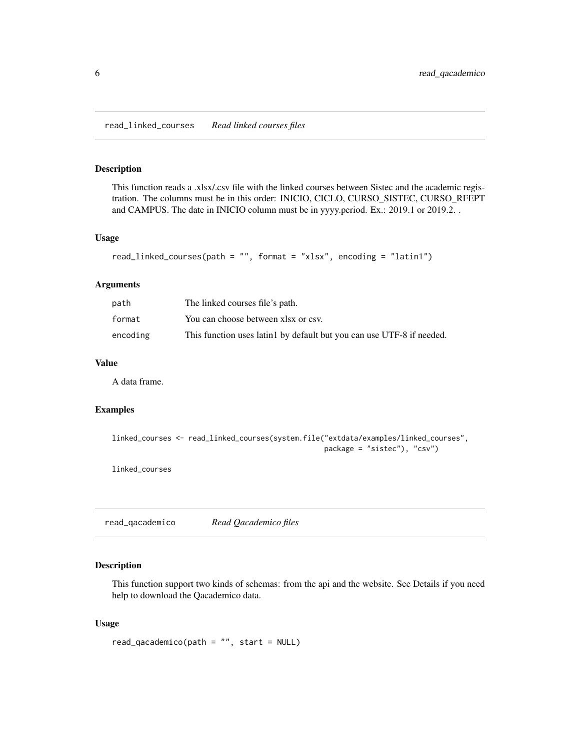<span id="page-5-0"></span>read\_linked\_courses *Read linked courses files*

#### Description

This function reads a .xlsx/.csv file with the linked courses between Sistec and the academic registration. The columns must be in this order: INICIO, CICLO, CURSO\_SISTEC, CURSO\_RFEPT and CAMPUS. The date in INICIO column must be in yyyy.period. Ex.: 2019.1 or 2019.2. .

#### Usage

```
read_linked_courses(path = "", format = "xlsx", encoding = "latin1")
```
#### Arguments

| path     | The linked courses file's path.                                       |
|----------|-----------------------------------------------------------------------|
| format   | You can choose between xlsx or csv.                                   |
| encoding | This function uses latin1 by default but you can use UTF-8 if needed. |

#### Value

A data frame.

#### Examples

```
linked_courses <- read_linked_courses(system.file("extdata/examples/linked_courses",
                                                  package = "sistec"), "csv")
```
linked\_courses

read\_qacademico *Read Qacademico files*

#### Description

This function support two kinds of schemas: from the api and the website. See Details if you need help to download the Qacademico data.

#### Usage

 $read_qacademico(path = "", start = NULL)$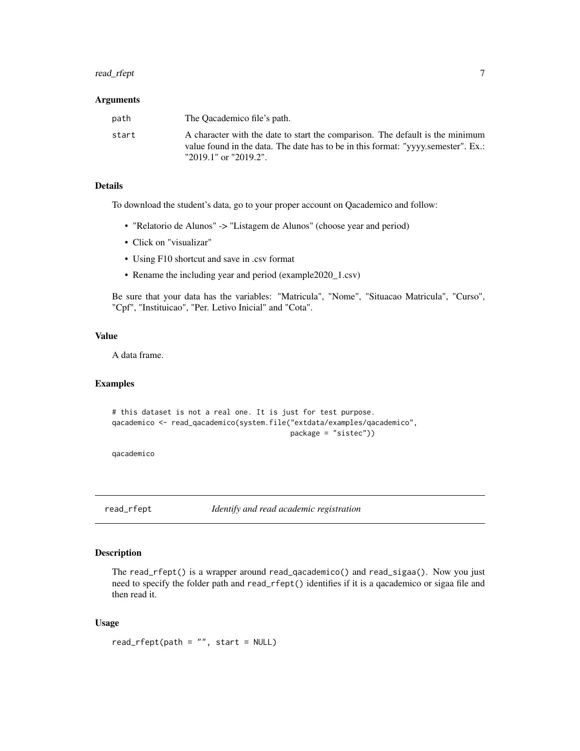# <span id="page-6-0"></span>read\_rfept 7

#### **Arguments**

| path  | The Oacademico file's path.                                                                                                                                                                 |
|-------|---------------------------------------------------------------------------------------------------------------------------------------------------------------------------------------------|
| start | A character with the date to start the comparison. The default is the minimum<br>value found in the data. The date has to be in this format: "yyyy.semester". Ex.:<br>"2019.1" or "2019.2". |

## Details

To download the student's data, go to your proper account on Qacademico and follow:

- "Relatorio de Alunos" -> "Listagem de Alunos" (choose year and period)
- Click on "visualizar"
- Using F10 shortcut and save in .csv format
- Rename the including year and period (example2020\_1.csv)

Be sure that your data has the variables: "Matricula", "Nome", "Situacao Matricula", "Curso", "Cpf", "Instituicao", "Per. Letivo Inicial" and "Cota".

# Value

A data frame.

#### Examples

# this dataset is not a real one. It is just for test purpose. qacademico <- read\_qacademico(system.file("extdata/examples/qacademico", package = "sistec"))

qacademico

read\_rfept *Identify and read academic registration*

#### Description

The read\_rfept() is a wrapper around read\_qacademico() and read\_sigaa(). Now you just need to specify the folder path and read\_rfept() identifies if it is a qacademico or sigaa file and then read it.

#### Usage

 $read\_rfept(path = "", start = NULL)$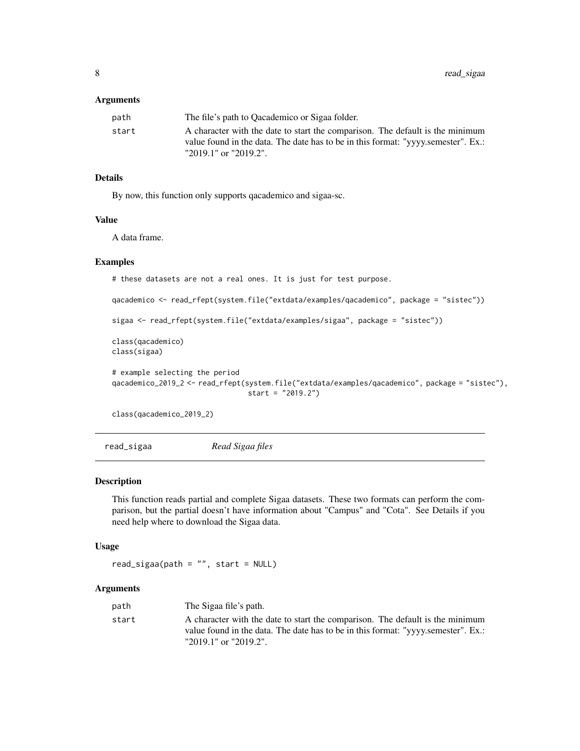#### <span id="page-7-0"></span>**Arguments**

| path  | The file's path to Oacademico or Sigaa folder.                                    |
|-------|-----------------------------------------------------------------------------------|
| start | A character with the date to start the comparison. The default is the minimum     |
|       | value found in the data. The date has to be in this format: "yyyy.semester". Ex.: |
|       | "2019.1" or "2019.2".                                                             |

# Details

By now, this function only supports qacademico and sigaa-sc.

#### Value

A data frame.

#### Examples

```
# these datasets are not a real ones. It is just for test purpose.
qacademico <- read_rfept(system.file("extdata/examples/qacademico", package = "sistec"))
sigaa <- read_rfept(system.file("extdata/examples/sigaa", package = "sistec"))
class(qacademico)
class(sigaa)
# example selecting the period
qacademico_2019_2 <- read_rfept(system.file("extdata/examples/qacademico", package = "sistec"),
                                start = "2019.2")
```
class(qacademico\_2019\_2)

read\_sigaa *Read Sigaa files*

#### Description

This function reads partial and complete Sigaa datasets. These two formats can perform the comparison, but the partial doesn't have information about "Campus" and "Cota". See Details if you need help where to download the Sigaa data.

# Usage

```
read\_ sigaa(path = "", start = NULL)
```
# Arguments

| path  | The Sigaa file's path.                                                            |  |
|-------|-----------------------------------------------------------------------------------|--|
| start | A character with the date to start the comparison. The default is the minimum     |  |
|       | value found in the data. The date has to be in this format: "yyyy.semester". Ex.: |  |
|       | "2019.1" or "2019.2".                                                             |  |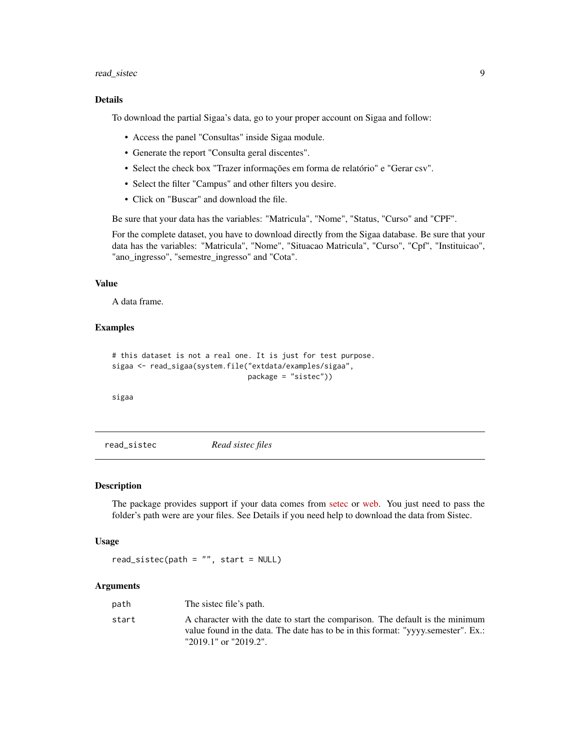#### <span id="page-8-0"></span>read\_sistec 9

# Details

To download the partial Sigaa's data, go to your proper account on Sigaa and follow:

- Access the panel "Consultas" inside Sigaa module.
- Generate the report "Consulta geral discentes".
- Select the check box "Trazer informações em forma de relatório" e "Gerar csv".
- Select the filter "Campus" and other filters you desire.
- Click on "Buscar" and download the file.

Be sure that your data has the variables: "Matricula", "Nome", "Status, "Curso" and "CPF".

For the complete dataset, you have to download directly from the Sigaa database. Be sure that your data has the variables: "Matricula", "Nome", "Situacao Matricula", "Curso", "Cpf", "Instituicao", "ano\_ingresso", "semestre\_ingresso" and "Cota".

#### Value

A data frame.

# Examples

```
# this dataset is not a real one. It is just for test purpose.
sigaa <- read_sigaa(system.file("extdata/examples/sigaa",
                                package = "sistec"))
```
sigaa

read\_sistec *Read sistec files*

# Description

The package provides support if your data comes from [setec](http://portal.mec.gov.br/setec-secretaria-de-educacao-profissional-e-tecnologica) or [web.](https://sistec.mec.gov.br/) You just need to pass the folder's path were are your files. See Details if you need help to download the data from Sistec.

#### Usage

```
read_sistec(path = ", start = NULL)
```
#### Arguments

| path  | The sisted file's path.                                                                                                                                            |
|-------|--------------------------------------------------------------------------------------------------------------------------------------------------------------------|
| start | A character with the date to start the comparison. The default is the minimum<br>value found in the data. The date has to be in this format: "yyyy.semester". Ex.: |
|       | "2019.1" or "2019.2".                                                                                                                                              |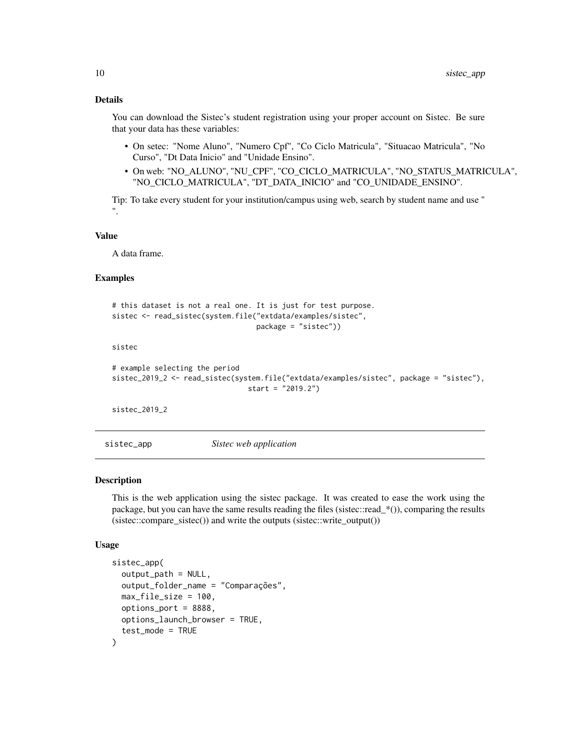# <span id="page-9-0"></span>Details

You can download the Sistec's student registration using your proper account on Sistec. Be sure that your data has these variables:

- On setec: "Nome Aluno", "Numero Cpf", "Co Ciclo Matricula", "Situacao Matricula", "No Curso", "Dt Data Inicio" and "Unidade Ensino".
- On web: "NO\_ALUNO", "NU\_CPF", "CO\_CICLO\_MATRICULA", "NO\_STATUS\_MATRICULA", "NO\_CICLO\_MATRICULA", "DT\_DATA\_INICIO" and "CO\_UNIDADE\_ENSINO".

Tip: To take every student for your institution/campus using web, search by student name and use " ".

#### Value

A data frame.

#### Examples

```
# this dataset is not a real one. It is just for test purpose.
sistec <- read_sistec(system.file("extdata/examples/sistec",
                                  package = "sistec"))
```
sistec

```
# example selecting the period
sistec_2019_2 <- read_sistec(system.file("extdata/examples/sistec", package = "sistec"),
                                start = "2019.2")
```
sistec\_2019\_2

sistec\_app *Sistec web application*

#### Description

This is the web application using the sistec package. It was created to ease the work using the package, but you can have the same results reading the files (sistec::read\_\*()), comparing the results (sistec::compare\_sistec()) and write the outputs (sistec::write\_output())

#### Usage

```
sistec_app(
  output_path = NULL,
  output_folder_name = "Comparações",
 max_file_size = 100,
 options_port = 8888,
  options_launch_browser = TRUE,
  test_mode = TRUE
)
```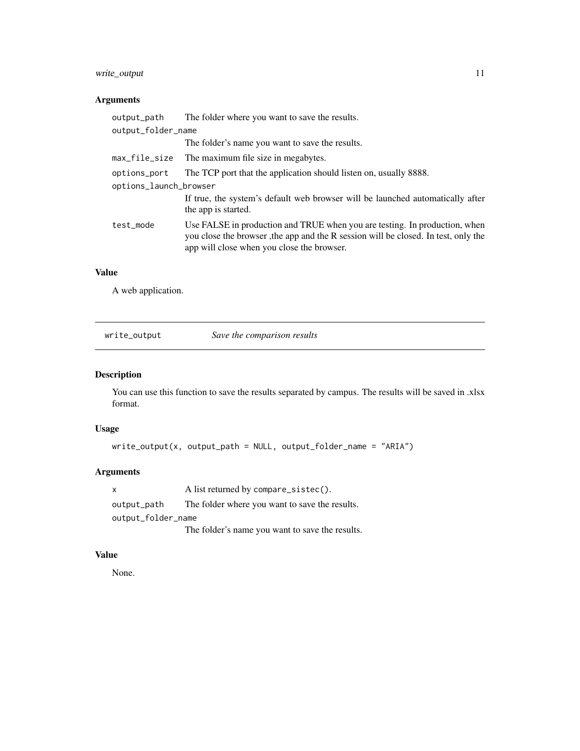# <span id="page-10-0"></span>write\_output 11

# Arguments

| output_path            | The folder where you want to save the results.                                                                                                                                                                 |
|------------------------|----------------------------------------------------------------------------------------------------------------------------------------------------------------------------------------------------------------|
| output_folder_name     |                                                                                                                                                                                                                |
|                        | The folder's name you want to save the results.                                                                                                                                                                |
| max_file_size          | The maximum file size in megabytes.                                                                                                                                                                            |
| options_port           | The TCP port that the application should listen on, usually 8888.                                                                                                                                              |
| options_launch_browser |                                                                                                                                                                                                                |
|                        | If true, the system's default web browser will be launched automatically after<br>the app is started.                                                                                                          |
| test mode              | Use FALSE in production and TRUE when you are testing. In production, when<br>you close the browser, the app and the R session will be closed. In test, only the<br>app will close when you close the browser. |
|                        |                                                                                                                                                                                                                |

# Value

A web application.

| write_output | Save the comparison results |
|--------------|-----------------------------|
|              |                             |

# Description

You can use this function to save the results separated by campus. The results will be saved in .xlsx format.

# Usage

```
write\_output(x, output\_path = NULL, output\_folder\_name = "ARIA")
```
# Arguments

x A list returned by compare\_sistec(). output\_path The folder where you want to save the results. output\_folder\_name The folder's name you want to save the results.

# Value

None.